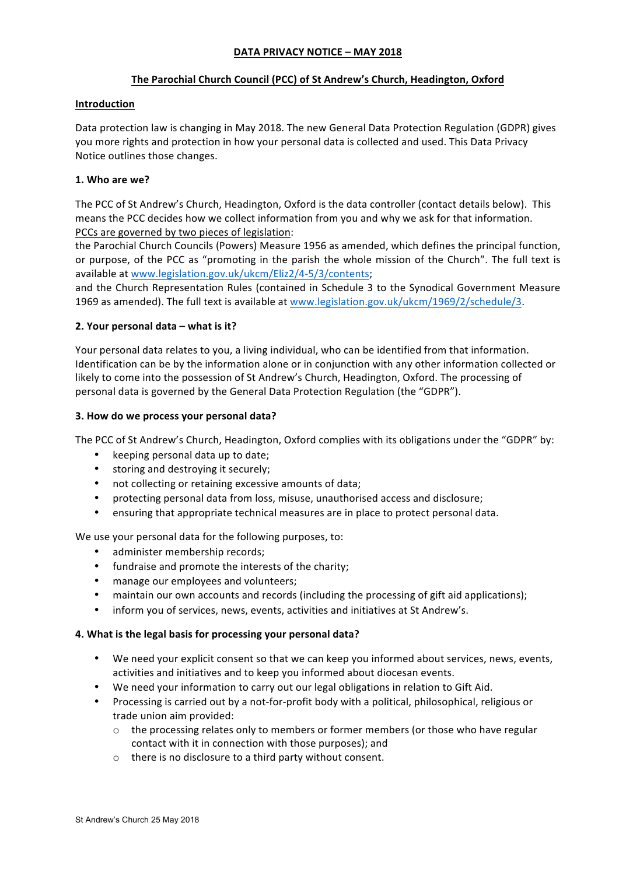## **DATA PRIVACY NOTICE – MAY 2018**

### The Parochial Church Council (PCC) of St Andrew's Church, Headington, Oxford

#### **Introduction**

Data protection law is changing in May 2018. The new General Data Protection Regulation (GDPR) gives you more rights and protection in how your personal data is collected and used. This Data Privacy Notice outlines those changes.

#### 1. Who are we?

The PCC of St Andrew's Church, Headington, Oxford is the data controller (contact details below). This means the PCC decides how we collect information from you and why we ask for that information. PCCs are governed by two pieces of legislation:

the Parochial Church Councils (Powers) Measure 1956 as amended, which defines the principal function, or purpose, of the PCC as "promoting in the parish the whole mission of the Church". The full text is available at www.legislation.gov.uk/ukcm/Eliz2/4-5/3/contents;

and the Church Representation Rules (contained in Schedule 3 to the Synodical Government Measure 1969 as amended). The full text is available at www.legislation.gov.uk/ukcm/1969/2/schedule/3.

#### **2. Your personal data – what is it?**

Your personal data relates to you, a living individual, who can be identified from that information. Identification can be by the information alone or in conjunction with any other information collected or likely to come into the possession of St Andrew's Church, Headington, Oxford. The processing of personal data is governed by the General Data Protection Regulation (the "GDPR").

#### **3.** How do we process your personal data?

The PCC of St Andrew's Church, Headington, Oxford complies with its obligations under the "GDPR" by:

- keeping personal data up to date;
- storing and destroying it securely;
- not collecting or retaining excessive amounts of data;
- protecting personal data from loss, misuse, unauthorised access and disclosure;
- ensuring that appropriate technical measures are in place to protect personal data.

We use your personal data for the following purposes, to:

- administer membership records;
- fundraise and promote the interests of the charity;
- manage our employees and volunteers;
- maintain our own accounts and records (including the processing of gift aid applications);
- inform you of services, news, events, activities and initiatives at St Andrew's.

#### 4. What is the legal basis for processing your personal data?

- We need your explicit consent so that we can keep you informed about services, news, events, activities and initiatives and to keep you informed about diocesan events.
- We need your information to carry out our legal obligations in relation to Gift Aid.
- Processing is carried out by a not-for-profit body with a political, philosophical, religious or trade union aim provided:
	- $\circ$  the processing relates only to members or former members (or those who have regular contact with it in connection with those purposes); and
	- $\circ$  there is no disclosure to a third party without consent.